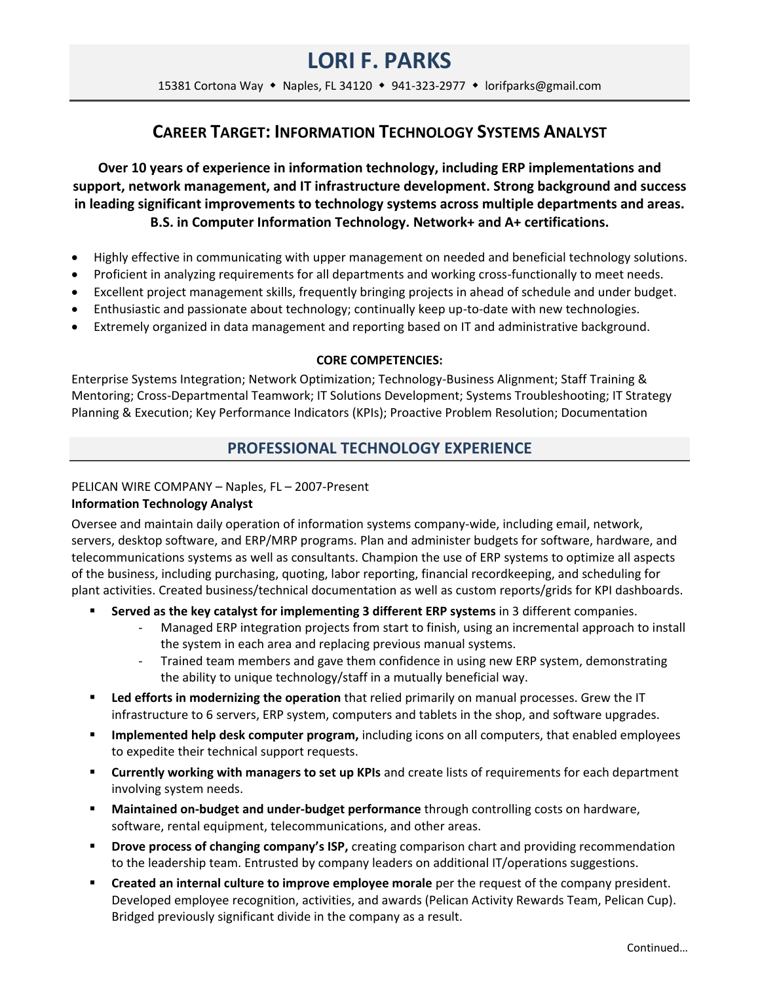# **LORI F. PARKS**

15381 Cortona Way • Naples, FL 34120 • 941-323-2977 • lorifparks@gmail.com

# **CAREER TARGET: INFORMATION TECHNOLOGY SYSTEMS ANALYST**

**Over 10 years of experience in information technology, including ERP implementations and support, network management, and IT infrastructure development. Strong background and success in leading significant improvements to technology systems across multiple departments and areas. B.S. in Computer Information Technology. Network+ and A+ certifications.**

- Highly effective in communicating with upper management on needed and beneficial technology solutions.
- Proficient in analyzing requirements for all departments and working cross-functionally to meet needs.
- Excellent project management skills, frequently bringing projects in ahead of schedule and under budget.
- Enthusiastic and passionate about technology; continually keep up-to-date with new technologies.
- Extremely organized in data management and reporting based on IT and administrative background.

#### **CORE COMPETENCIES:**

Enterprise Systems Integration; Network Optimization; Technology-Business Alignment; Staff Training & Mentoring; Cross-Departmental Teamwork; IT Solutions Development; Systems Troubleshooting; IT Strategy Planning & Execution; Key Performance Indicators (KPIs); Proactive Problem Resolution; Documentation

## **PROFESSIONAL TECHNOLOGY EXPERIENCE**

### PELICAN WIRE COMPANY – Naples, FL – 2007-Present

### **Information Technology Analyst**

Oversee and maintain daily operation of information systems company-wide, including email, network, servers, desktop software, and ERP/MRP programs. Plan and administer budgets for software, hardware, and telecommunications systems as well as consultants. Champion the use of ERP systems to optimize all aspects of the business, including purchasing, quoting, labor reporting, financial recordkeeping, and scheduling for plant activities. Created business/technical documentation as well as custom reports/grids for KPI dashboards.

- **Served as the key catalyst for implementing 3 different ERP systems** in 3 different companies.
	- Managed ERP integration projects from start to finish, using an incremental approach to install the system in each area and replacing previous manual systems.
	- Trained team members and gave them confidence in using new ERP system, demonstrating the ability to unique technology/staff in a mutually beneficial way.
- **Led efforts in modernizing the operation** that relied primarily on manual processes. Grew the IT infrastructure to 6 servers, ERP system, computers and tablets in the shop, and software upgrades.
- **Implemented help desk computer program,** including icons on all computers, that enabled employees to expedite their technical support requests.
- **Currently working with managers to set up KPIs** and create lists of requirements for each department involving system needs.
- **Maintained on-budget and under-budget performance** through controlling costs on hardware, software, rental equipment, telecommunications, and other areas.
- **Drove process of changing company's ISP,** creating comparison chart and providing recommendation to the leadership team. Entrusted by company leaders on additional IT/operations suggestions.
- **Created an internal culture to improve employee morale** per the request of the company president. Developed employee recognition, activities, and awards (Pelican Activity Rewards Team, Pelican Cup). Bridged previously significant divide in the company as a result.